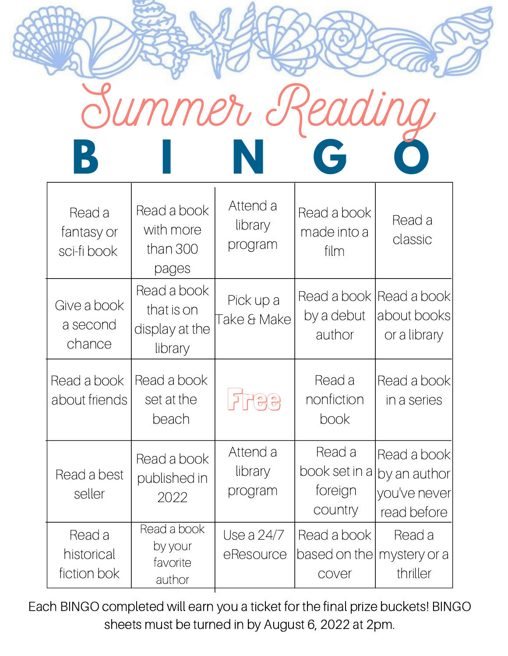

Г

| Read a<br>fantasy or<br>sci-fi book | Read a book<br>with more<br>than 300<br>pages          | Attend a<br>library<br>program | Read a book<br>made into a<br>film            | Read a<br>classic                                          |
|-------------------------------------|--------------------------------------------------------|--------------------------------|-----------------------------------------------|------------------------------------------------------------|
| Give a book<br>a second<br>chance   | Read a book<br>that is on<br>display at the<br>library | Pick up a<br>Take & Make       | Read a book<br>by a debut<br>author           | Read a book<br>about books<br>or a library                 |
| Read a book<br>about friends        | Read a book<br>set at the<br>beach                     | FRAS                           | Read a<br>nonfiction<br>book                  | Read a book<br>in a series                                 |
| Read a best<br>seller               | Read a book<br>published in<br>2022                    | Attend a<br>library<br>program | Read a<br>book set in a<br>toreign<br>country | Read a book<br>by an author<br>you've never<br>read before |
| Read a<br>historical<br>fiction bok | Read a book<br>by your<br>favorite<br>author           | Use a 24/7<br>eResource        | Read a book<br>based on the<br>cover          | Read a<br>mystery or a<br>thriller                         |

Each BINGO completed will earn you a ticket for the final prize buckets! BINGO sheets must be turned in by August 6, 2022 at 2pm.